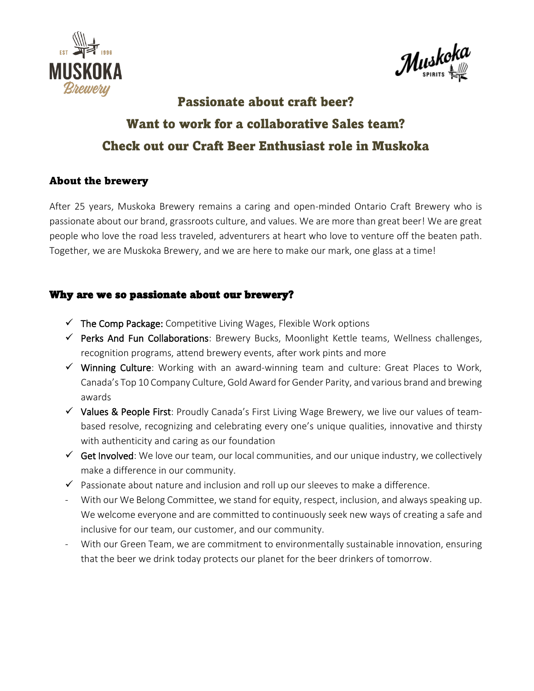



# **Passionate about craft beer?** Want to work for a collaborative Sales team? Check out our Craft Beer Enthusiast role in Muskoka

## About the brewery

After 25 years, Muskoka Brewery remains a caring and open-minded Ontario Craft Brewery who is passionate about our brand, grassroots culture, and values. We are more than great beer! We are great people who love the road less traveled, adventurers at heart who love to venture off the beaten path. Together, we are Muskoka Brewery, and we are here to make our mark, one glass at a time!

## Why are we so passionate about our brewery?

- $\checkmark$  The Comp Package: Competitive Living Wages, Flexible Work options
- ✓ Perks And Fun Collaborations: Brewery Bucks, Moonlight Kettle teams, Wellness challenges, recognition programs, attend brewery events, after work pints and more
- $\checkmark$  Winning Culture: Working with an award-winning team and culture: Great Places to Work, Canada's Top 10 Company Culture, Gold Award for Gender Parity, and various brand and brewing awards
- ✓ Values & People First: Proudly Canada's First Living Wage Brewery, we live our values of teambased resolve, recognizing and celebrating every one's unique qualities, innovative and thirsty with authenticity and caring as our foundation
- $\checkmark$  Get Involved: We love our team, our local communities, and our unique industry, we collectively make a difference in our community.
- $\checkmark$  Passionate about nature and inclusion and roll up our sleeves to make a difference.
- With our We Belong Committee, we stand for equity, respect, inclusion, and always speaking up. We welcome everyone and are committed to continuously seek new ways of creating a safe and inclusive for our team, our customer, and our community.
- With our Green Team, we are commitment to environmentally sustainable innovation, ensuring that the beer we drink today protects our planet for the beer drinkers of tomorrow.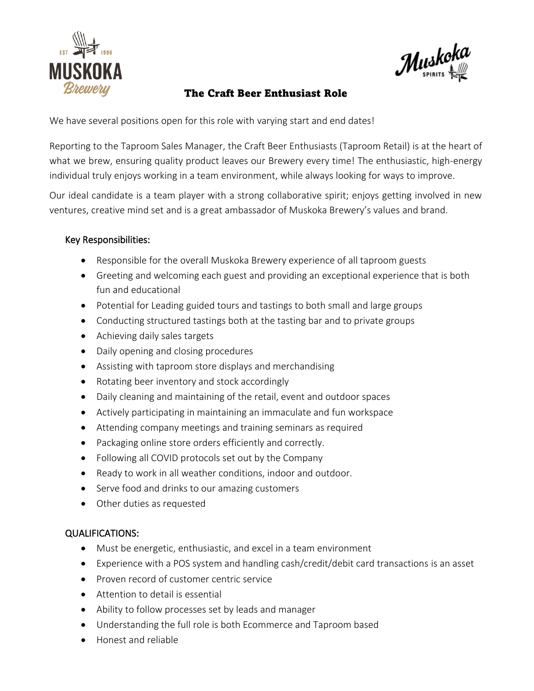

 $\mathcal{M}$ uskoka

# The Craft Beer Enthusiast Role

We have several positions open for this role with varying start and end dates!

Reporting to the Taproom Sales Manager, the Craft Beer Enthusiasts (Taproom Retail) is at the heart of what we brew, ensuring quality product leaves our Brewery every time! The enthusiastic, high-energy individual truly enjoys working in a team environment, while always looking for ways to improve.

Our ideal candidate is a team player with a strong collaborative spirit; enjoys getting involved in new ventures, creative mind set and is a great ambassador of Muskoka Brewery's values and brand.

#### Key Responsibilities:

- Responsible for the overall Muskoka Brewery experience of all taproom guests
- Greeting and welcoming each guest and providing an exceptional experience that is both fun and educational
- Potential for Leading guided tours and tastings to both small and large groups
- Conducting structured tastings both at the tasting bar and to private groups
- Achieving daily sales targets
- Daily opening and closing procedures
- Assisting with taproom store displays and merchandising
- Rotating beer inventory and stock accordingly
- Daily cleaning and maintaining of the retail, event and outdoor spaces
- Actively participating in maintaining an immaculate and fun workspace
- Attending company meetings and training seminars as required
- Packaging online store orders efficiently and correctly.
- Following all COVID protocols set out by the Company
- Ready to work in all weather conditions, indoor and outdoor.
- Serve food and drinks to our amazing customers
- Other duties as requested

#### QUALIFICATIONS:

- Must be energetic, enthusiastic, and excel in a team environment
- Experience with a POS system and handling cash/credit/debit card transactions is an asset
- Proven record of customer centric service
- Attention to detail is essential
- Ability to follow processes set by leads and manager
- Understanding the full role is both Ecommerce and Taproom based
- Honest and reliable